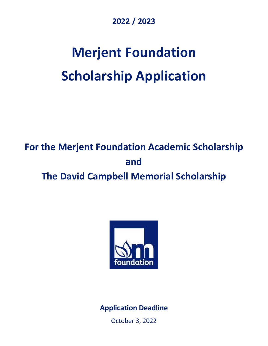### **2022 / 2023**

# **Merjent Foundation Scholarship Application**

## **For the Merjent Foundation Academic Scholarship and The David Campbell Memorial Scholarship**



**Application Deadline**

October 3, 2022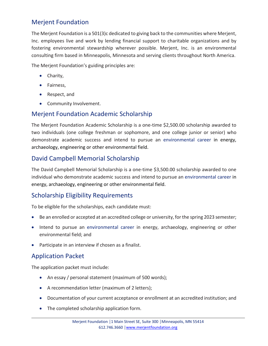#### Merjent Foundation

The Merjent Foundation is a 501(3)c dedicated to giving back to the communities where Merjent, Inc. employees live and work by lending financial support to charitable organizations and by fostering environmental stewardship wherever possible. Merjent, Inc. is an environmental consulting firm based in Minneapolis, Minnesota and serving clients throughout North America.

The Merjent Foundation's guiding principles are:

- Charity,
- Fairness,
- Respect, and
- Community Involvement.

#### Merjent Foundation Academic Scholarship

The Merjent Foundation Academic Scholarship is a one-time \$2,500.00 scholarship awarded to two individuals (one college freshman or sophomore, and one college junior or senior) who demonstrate academic success and intend to pursue an environmental career in energy, archaeology, engineering or other environmental field.

#### David Campbell Memorial Scholarship

The David Campbell Memorial Scholarship is a one-time \$3,500.00 scholarship awarded to one individual who demonstrate academic success and intend to pursue an environmental career in energy, archaeology, engineering or other environmental field.

#### Scholarship Eligibility Requirements

To be eligible for the scholarships, each candidate must:

- Be an enrolled or accepted at an accredited college or university, for the spring 2023 semester;
- Intend to pursue an environmental career in energy, archaeology, engineering or other environmental field; and
- Participate in an interview if chosen as a finalist.

#### Application Packet

The application packet must include:

- An essay / personal statement (maximum of 500 words);
- A recommendation letter (maximum of 2 letters);
- Documentation of your current acceptance or enrollment at an accredited institution; and
- The completed scholarship application form.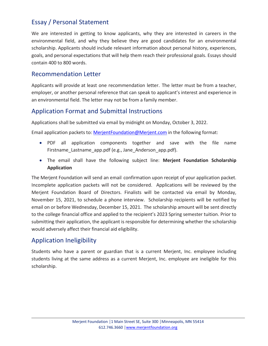#### Essay / Personal Statement

We are interested in getting to know applicants, why they are interested in careers in the environmental field, and why they believe they are good candidates for an environmental scholarship. Applicants should include relevant information about personal history, experiences, goals, and personal expectations that will help them reach their professional goals. Essays should contain 400 to 800 words.

#### Recommendation Letter

Applicants will provide at least one recommendation letter. The letter must be from a teacher, employer, or another personal reference that can speak to applicant's interest and experience in an environmental field. The letter may not be from a family member.

#### Application Format and Submittal Instructions

Applications shall be submitted via email by midnight on Monday, October 3, 2022.

Email application packets to: [MerjentFoundation@Merjent.com](mailto:MerjentFoundation@Merjent.com) in the following format:

- PDF all application components together and save with the file name Firstname Lastname app.pdf (e.g., Jane Anderson app.pdf).
- The email shall have the following subject line: **Merjent Foundation Scholarship Application**

The Merjent Foundation will send an email confirmation upon receipt of your application packet. Incomplete application packets will not be considered. Applications will be reviewed by the Merjent Foundation Board of Directors. Finalists will be contacted via email by Monday, November 15, 2021, to schedule a phone interview. Scholarship recipients will be notified by email on or before Wednesday, December 15, 2021. The scholarship amount will be sent directly to the college financial office and applied to the recipient's 2023 Spring semester tuition. Prior to submitting their application, the applicant is responsible for determining whether the scholarship would adversely affect their financial aid eligibility.

#### Application Ineligibility

Students who have a parent or guardian that is a current Merjent, Inc. employee including students living at the same address as a current Merjent, Inc. employee are ineligible for this scholarship.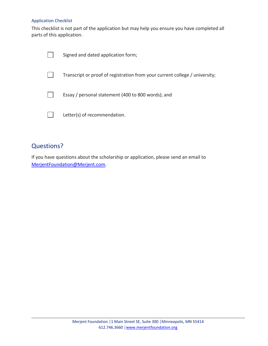#### Application Checklist

This checklist is not part of the application but may help you ensure you have completed all parts of this application.

| Signed and dated application form;                                          |
|-----------------------------------------------------------------------------|
| Transcript or proof of registration from your current college / university; |
| Essay / personal statement (400 to 800 words); and                          |
| Letter(s) of recommendation.                                                |

#### Questions?

If you have questions about the scholarship or application, please send an email to [MerjentFoundation@Merjent.com.](mailto:MerjentFoundation@Merjent.com)